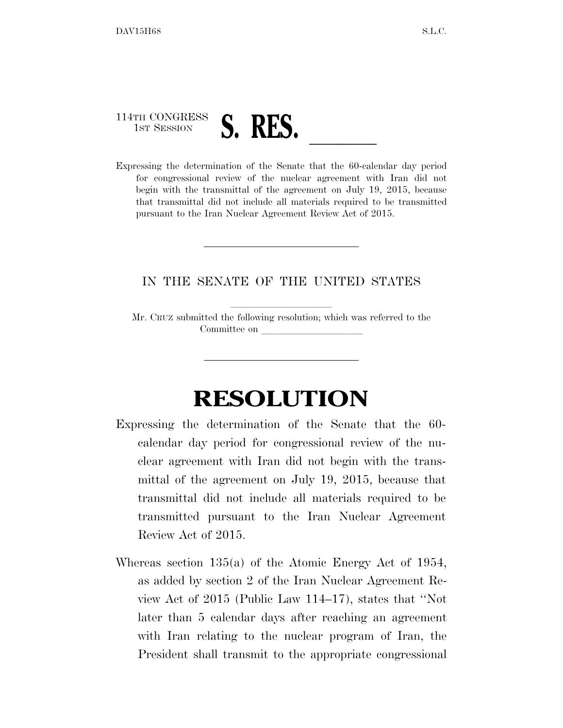

for congressional review of the nuclear agreement with Iran did not begin with the transmittal of the agreement on July 19, 2015, because that transmittal did not include all materials required to be transmitted pursuant to the Iran Nuclear Agreement Review Act of 2015.

## IN THE SENATE OF THE UNITED STATES

Mr. CRUZ submitted the following resolution; which was referred to the Committee on

## **RESOLUTION**

- Expressing the determination of the Senate that the 60 calendar day period for congressional review of the nuclear agreement with Iran did not begin with the transmittal of the agreement on July 19, 2015, because that transmittal did not include all materials required to be transmitted pursuant to the Iran Nuclear Agreement Review Act of 2015.
- Whereas section 135(a) of the Atomic Energy Act of 1954, as added by section 2 of the Iran Nuclear Agreement Review Act of 2015 (Public Law 114–17), states that ''Not later than 5 calendar days after reaching an agreement with Iran relating to the nuclear program of Iran, the President shall transmit to the appropriate congressional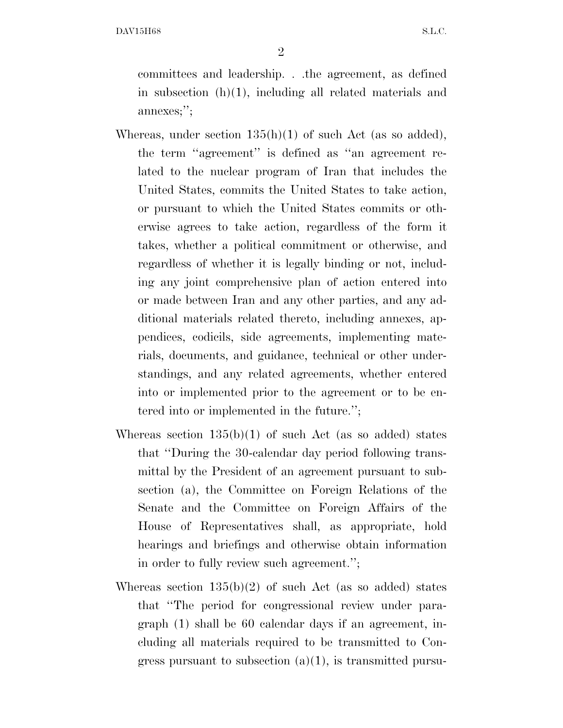DAV15H68 S.L.C.

2

committees and leadership. . .the agreement, as defined in subsection  $(h)(1)$ , including all related materials and annexes;'';

- Whereas, under section  $135(h)(1)$  of such Act (as so added), the term ''agreement'' is defined as ''an agreement related to the nuclear program of Iran that includes the United States, commits the United States to take action, or pursuant to which the United States commits or otherwise agrees to take action, regardless of the form it takes, whether a political commitment or otherwise, and regardless of whether it is legally binding or not, including any joint comprehensive plan of action entered into or made between Iran and any other parties, and any additional materials related thereto, including annexes, appendices, codicils, side agreements, implementing materials, documents, and guidance, technical or other understandings, and any related agreements, whether entered into or implemented prior to the agreement or to be entered into or implemented in the future.'';
- Whereas section  $135(b)(1)$  of such Act (as so added) states that ''During the 30-calendar day period following transmittal by the President of an agreement pursuant to subsection (a), the Committee on Foreign Relations of the Senate and the Committee on Foreign Affairs of the House of Representatives shall, as appropriate, hold hearings and briefings and otherwise obtain information in order to fully review such agreement.'';
- Whereas section  $135(b)(2)$  of such Act (as so added) states that ''The period for congressional review under paragraph (1) shall be 60 calendar days if an agreement, including all materials required to be transmitted to Congress pursuant to subsection  $(a)(1)$ , is transmitted pursu-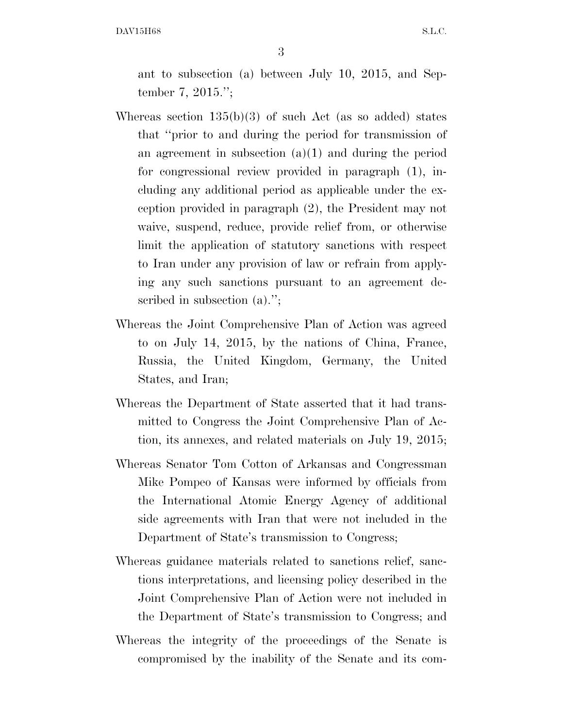DAV15H68 S.L.C.

3

ant to subsection (a) between July 10, 2015, and September 7, 2015.'';

- Whereas section 135(b)(3) of such Act (as so added) states that ''prior to and during the period for transmission of an agreement in subsection  $(a)(1)$  and during the period for congressional review provided in paragraph (1), including any additional period as applicable under the exception provided in paragraph (2), the President may not waive, suspend, reduce, provide relief from, or otherwise limit the application of statutory sanctions with respect to Iran under any provision of law or refrain from applying any such sanctions pursuant to an agreement described in subsection (a).";
- Whereas the Joint Comprehensive Plan of Action was agreed to on July 14, 2015, by the nations of China, France, Russia, the United Kingdom, Germany, the United States, and Iran;
- Whereas the Department of State asserted that it had transmitted to Congress the Joint Comprehensive Plan of Action, its annexes, and related materials on July 19, 2015;
- Whereas Senator Tom Cotton of Arkansas and Congressman Mike Pompeo of Kansas were informed by officials from the International Atomic Energy Agency of additional side agreements with Iran that were not included in the Department of State's transmission to Congress;
- Whereas guidance materials related to sanctions relief, sanctions interpretations, and licensing policy described in the Joint Comprehensive Plan of Action were not included in the Department of State's transmission to Congress; and
- Whereas the integrity of the proceedings of the Senate is compromised by the inability of the Senate and its com-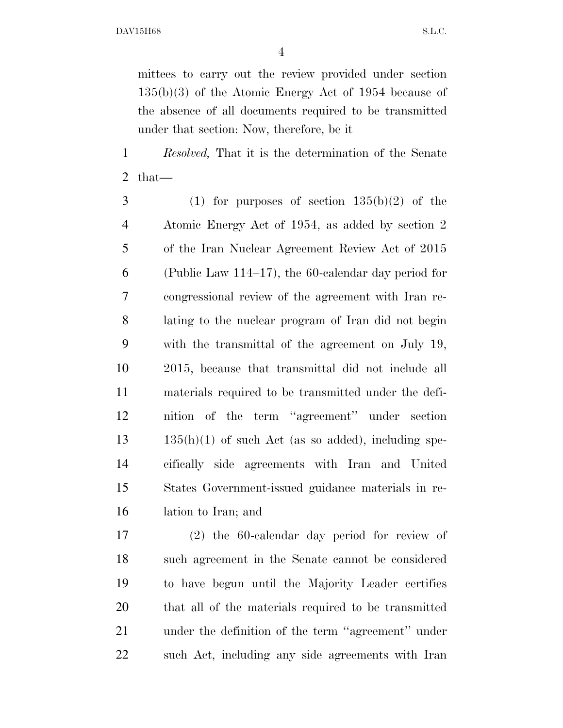mittees to carry out the review provided under section 135(b)(3) of the Atomic Energy Act of 1954 because of the absence of all documents required to be transmitted under that section: Now, therefore, be it

 *Resolved,* That it is the determination of the Senate that—

3 (1) for purposes of section  $135(b)(2)$  of the Atomic Energy Act of 1954, as added by section 2 of the Iran Nuclear Agreement Review Act of 2015 (Public Law 114–17), the 60-calendar day period for congressional review of the agreement with Iran re- lating to the nuclear program of Iran did not begin with the transmittal of the agreement on July 19, 2015, because that transmittal did not include all materials required to be transmitted under the defi- nition of the term ''agreement'' under section  $13 \qquad 135(h)(1)$  of such Act (as so added), including spe- cifically side agreements with Iran and United States Government-issued guidance materials in re-lation to Iran; and

 (2) the 60-calendar day period for review of such agreement in the Senate cannot be considered to have begun until the Majority Leader certifies that all of the materials required to be transmitted under the definition of the term ''agreement'' under such Act, including any side agreements with Iran